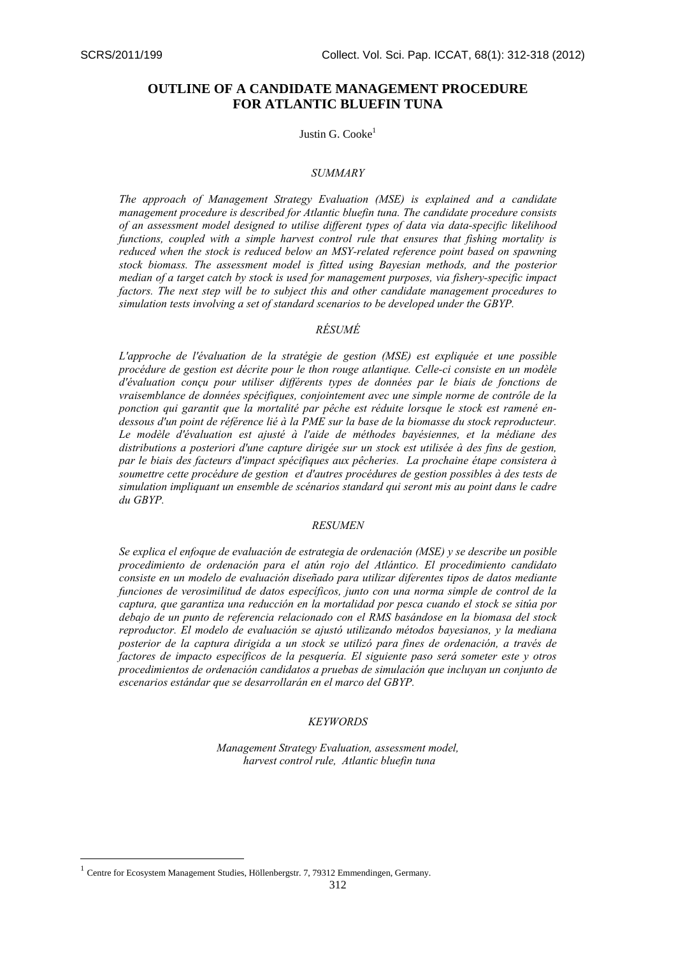# **OUTLINE OF A CANDIDATE MANAGEMENT PROCEDURE FOR ATLANTIC BLUEFIN TUNA**

## Justin G. Cooke $<sup>1</sup>$ </sup>

### *SUMMARY*

*The approach of Management Strategy Evaluation (MSE) is explained and a candidate management procedure is described for Atlantic bluefin tuna. The candidate procedure consists of an assessment model designed to utilise different types of data via data-specific likelihood functions, coupled with a simple harvest control rule that ensures that fishing mortality is reduced when the stock is reduced below an MSY-related reference point based on spawning stock biomass. The assessment model is fitted using Bayesian methods, and the posterior median of a target catch by stock is used for management purposes, via fishery-specific impact factors. The next step will be to subject this and other candidate management procedures to simulation tests involving a set of standard scenarios to be developed under the GBYP.* 

## *RÉSUMÉ*

*L'approche de l'évaluation de la stratégie de gestion (MSE) est expliquée et une possible procédure de gestion est décrite pour le thon rouge atlantique. Celle-ci consiste en un modèle d'évaluation conçu pour utiliser différents types de données par le biais de fonctions de vraisemblance de données spécifiques, conjointement avec une simple norme de contrôle de la ponction qui garantit que la mortalité par pêche est réduite lorsque le stock est ramené endessous d'un point de référence lié à la PME sur la base de la biomasse du stock reproducteur. Le modèle d'évaluation est ajusté à l'aide de méthodes bayésiennes, et la médiane des distributions a posteriori d'une capture dirigée sur un stock est utilisée à des fins de gestion, par le biais des facteurs d'impact spécifiques aux pêcheries. La prochaine étape consistera à soumettre cette procédure de gestion et d'autres procédures de gestion possibles à des tests de simulation impliquant un ensemble de scénarios standard qui seront mis au point dans le cadre du GBYP.* 

### *RESUMEN*

*Se explica el enfoque de evaluación de estrategia de ordenación (MSE) y se describe un posible procedimiento de ordenación para el atún rojo del Atlántico. El procedimiento candidato consiste en un modelo de evaluación diseñado para utilizar diferentes tipos de datos mediante funciones de verosimilitud de datos específicos, junto con una norma simple de control de la captura, que garantiza una reducción en la mortalidad por pesca cuando el stock se sitúa por debajo de un punto de referencia relacionado con el RMS basándose en la biomasa del stock reproductor. El modelo de evaluación se ajustó utilizando métodos bayesianos, y la mediana posterior de la captura dirigida a un stock se utilizó para fines de ordenación, a través de factores de impacto específicos de la pesquería. El siguiente paso será someter este y otros procedimientos de ordenación candidatos a pruebas de simulación que incluyan un conjunto de escenarios estándar que se desarrollarán en el marco del GBYP.* 

## *KEYWORDS*

*Management Strategy Evaluation, assessment model, harvest control rule, Atlantic bluefin tuna*

1

 $1$  Centre for Ecosystem Management Studies, Höllenbergstr. 7, 79312 Emmendingen, Germany.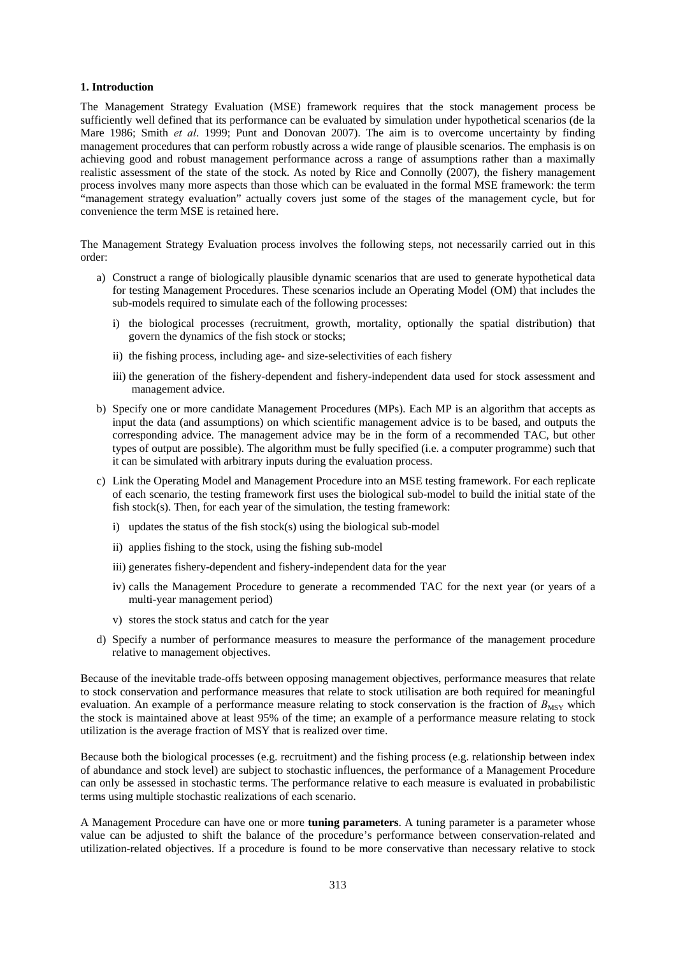## **1. Introduction**

The Management Strategy Evaluation (MSE) framework requires that the stock management process be sufficiently well defined that its performance can be evaluated by simulation under hypothetical scenarios (de la Mare 1986; Smith *et al*. 1999; Punt and Donovan 2007). The aim is to overcome uncertainty by finding management procedures that can perform robustly across a wide range of plausible scenarios. The emphasis is on achieving good and robust management performance across a range of assumptions rather than a maximally realistic assessment of the state of the stock. As noted by Rice and Connolly (2007), the fishery management process involves many more aspects than those which can be evaluated in the formal MSE framework: the term "management strategy evaluation" actually covers just some of the stages of the management cycle, but for convenience the term MSE is retained here.

The Management Strategy Evaluation process involves the following steps, not necessarily carried out in this order:

- a) Construct a range of biologically plausible dynamic scenarios that are used to generate hypothetical data for testing Management Procedures. These scenarios include an Operating Model (OM) that includes the sub-models required to simulate each of the following processes:
	- i) the biological processes (recruitment, growth, mortality, optionally the spatial distribution) that govern the dynamics of the fish stock or stocks;
	- ii) the fishing process, including age- and size-selectivities of each fishery
	- iii) the generation of the fishery-dependent and fishery-independent data used for stock assessment and management advice.
- b) Specify one or more candidate Management Procedures (MPs). Each MP is an algorithm that accepts as input the data (and assumptions) on which scientific management advice is to be based, and outputs the corresponding advice. The management advice may be in the form of a recommended TAC, but other types of output are possible). The algorithm must be fully specified (i.e. a computer programme) such that it can be simulated with arbitrary inputs during the evaluation process.
- c) Link the Operating Model and Management Procedure into an MSE testing framework. For each replicate of each scenario, the testing framework first uses the biological sub-model to build the initial state of the fish stock(s). Then, for each year of the simulation, the testing framework:
	- i) updates the status of the fish stock(s) using the biological sub-model
	- ii) applies fishing to the stock, using the fishing sub-model
	- iii) generates fishery-dependent and fishery-independent data for the year
	- iv) calls the Management Procedure to generate a recommended TAC for the next year (or years of a multi-year management period)
	- v) stores the stock status and catch for the year
- d) Specify a number of performance measures to measure the performance of the management procedure relative to management objectives.

Because of the inevitable trade-offs between opposing management objectives, performance measures that relate to stock conservation and performance measures that relate to stock utilisation are both required for meaningful evaluation. An example of a performance measure relating to stock conservation is the fraction of  $B_{\text{MSY}}$  which the stock is maintained above at least 95% of the time; an example of a performance measure relating to stock utilization is the average fraction of MSY that is realized over time.

Because both the biological processes (e.g. recruitment) and the fishing process (e.g. relationship between index of abundance and stock level) are subject to stochastic influences, the performance of a Management Procedure can only be assessed in stochastic terms. The performance relative to each measure is evaluated in probabilistic terms using multiple stochastic realizations of each scenario.

A Management Procedure can have one or more **tuning parameters**. A tuning parameter is a parameter whose value can be adjusted to shift the balance of the procedure's performance between conservation-related and utilization-related objectives. If a procedure is found to be more conservative than necessary relative to stock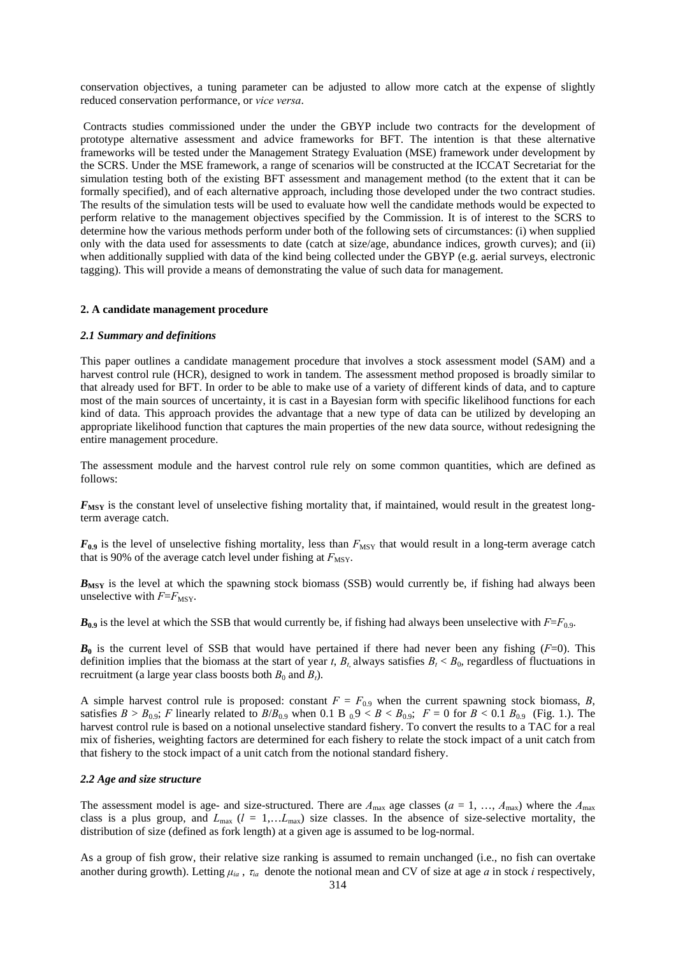conservation objectives, a tuning parameter can be adjusted to allow more catch at the expense of slightly reduced conservation performance, or *vice versa*.

 Contracts studies commissioned under the under the GBYP include two contracts for the development of prototype alternative assessment and advice frameworks for BFT. The intention is that these alternative frameworks will be tested under the Management Strategy Evaluation (MSE) framework under development by the SCRS. Under the MSE framework, a range of scenarios will be constructed at the ICCAT Secretariat for the simulation testing both of the existing BFT assessment and management method (to the extent that it can be formally specified), and of each alternative approach, including those developed under the two contract studies. The results of the simulation tests will be used to evaluate how well the candidate methods would be expected to perform relative to the management objectives specified by the Commission. It is of interest to the SCRS to determine how the various methods perform under both of the following sets of circumstances: (i) when supplied only with the data used for assessments to date (catch at size/age, abundance indices, growth curves); and (ii) when additionally supplied with data of the kind being collected under the GBYP (e.g. aerial surveys, electronic tagging). This will provide a means of demonstrating the value of such data for management.

### **2. A candidate management procedure**

### *2.1 Summary and definitions*

This paper outlines a candidate management procedure that involves a stock assessment model (SAM) and a harvest control rule (HCR), designed to work in tandem. The assessment method proposed is broadly similar to that already used for BFT. In order to be able to make use of a variety of different kinds of data, and to capture most of the main sources of uncertainty, it is cast in a Bayesian form with specific likelihood functions for each kind of data. This approach provides the advantage that a new type of data can be utilized by developing an appropriate likelihood function that captures the main properties of the new data source, without redesigning the entire management procedure.

The assessment module and the harvest control rule rely on some common quantities, which are defined as follows:

 $F_{\text{MSY}}$  is the constant level of unselective fishing mortality that, if maintained, would result in the greatest longterm average catch.

 $F_{0.9}$  is the level of unselective fishing mortality, less than  $F_{\text{MSY}}$  that would result in a long-term average catch that is 90% of the average catch level under fishing at  $F_{\text{MSY}}$ .

*B*<sub>MSY</sub> is the level at which the spawning stock biomass (SSB) would currently be, if fishing had always been unselective with  $F=F_{\text{MSY}}$ .

 $B_{0.9}$  is the level at which the SSB that would currently be, if fishing had always been unselective with  $F=F_{0.9}$ .

 $B_0$  is the current level of SSB that would have pertained if there had never been any fishing ( $F=0$ ). This definition implies that the biomass at the start of year *t*,  $B_t$  always satisfies  $B_t < B_0$ , regardless of fluctuations in recruitment (a large year class boosts both  $B_0$  and  $B_t$ ).

A simple harvest control rule is proposed: constant  $F = F_{0.9}$  when the current spawning stock biomass, *B*, satisfies  $B > B_{0.9}$ ; *F* linearly related to  $B/B_{0.9}$  when 0.1 B  $_0.9 < B < B_{0.9}$ ;  $F = 0$  for  $B < 0.1 B_{0.9}$  (Fig. 1.). The harvest control rule is based on a notional unselective standard fishery. To convert the results to a TAC for a real mix of fisheries, weighting factors are determined for each fishery to relate the stock impact of a unit catch from that fishery to the stock impact of a unit catch from the notional standard fishery.

### *2.2 Age and size structure*

The assessment model is age- and size-structured. There are  $A_{\text{max}}$  age classes ( $a = 1, \ldots, A_{\text{max}}$ ) where the  $A_{\text{max}}$ class is a plus group, and  $L_{\text{max}}$  ( $l = 1,...L_{\text{max}}$ ) size classes. In the absence of size-selective mortality, the distribution of size (defined as fork length) at a given age is assumed to be log-normal.

As a group of fish grow, their relative size ranking is assumed to remain unchanged (i.e., no fish can overtake another during growth). Letting  $\mu_{ia}$ ,  $\tau_{ia}$  denote the notional mean and CV of size at age *a* in stock *i* respectively,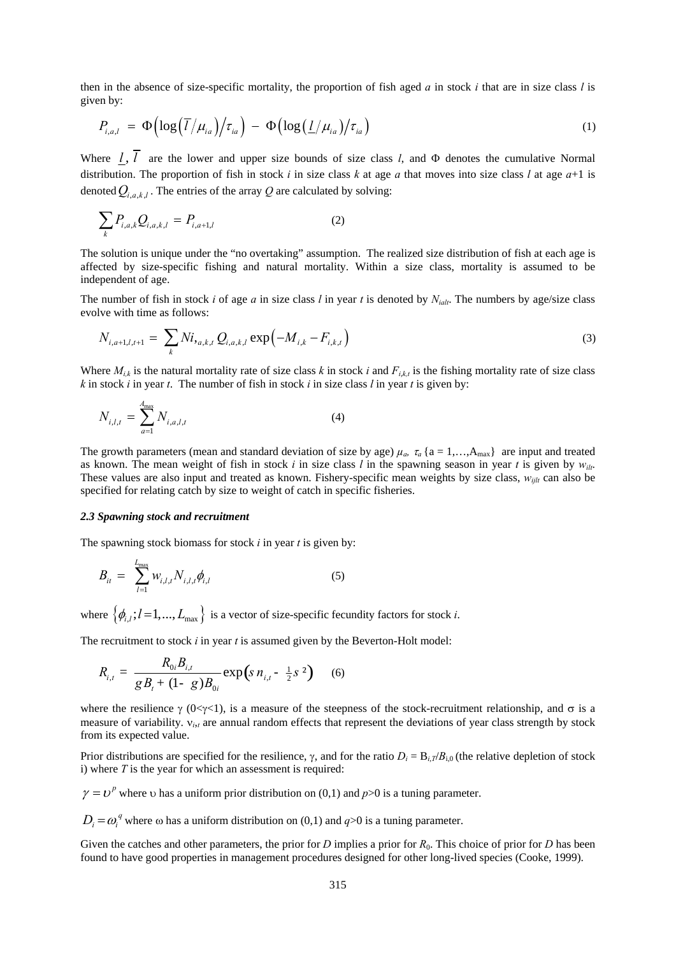then in the absence of size-specific mortality, the proportion of fish aged *a* in stock *i* that are in size class *l* is given by:

$$
P_{i,a,l} = \Phi\left(\log\left(\overline{l}/\mu_{ia}\right)\middle/\tau_{ia}\right) - \Phi\left(\log\left(\frac{l}{\mu_{ia}}\right)\middle/\tau_{ia}\right) \tag{1}
$$

Where  $\frac{l}{l}$ ,  $\overline{l}$  are the lower and upper size bounds of size class *l*, and  $\Phi$  denotes the cumulative Normal distribution. The proportion of fish in stock *i* in size class *k* at age *a* that moves into size class *l* at age *a*+1 is denoted  $Q_{i,a,k,l}$ . The entries of the array *Q* are calculated by solving:

$$
\sum_{k} P_{i,a,k} Q_{i,a,k,l} = P_{i,a+1,l} \tag{2}
$$

The solution is unique under the "no overtaking" assumption. The realized size distribution of fish at each age is affected by size-specific fishing and natural mortality. Within a size class, mortality is assumed to be independent of age.

The number of fish in stock *i* of age *a* in size class *l* in year *t* is denoted by  $N_{i}$ . The numbers by age/size class evolve with time as follows:

$$
N_{i,a+1,l,t+1} = \sum_{k} N i_{i,a,k,t} Q_{i,a,k,l} \exp(-M_{i,k} - F_{i,k,t})
$$
\n(3)

Where  $M_{i,k}$  is the natural mortality rate of size class *k* in stock *i* and  $F_{i,k,t}$  is the fishing mortality rate of size class *k* in stock *i* in year *t*. The number of fish in stock *i* in size class *l* in year *t* is given by:

$$
N_{i,l,t} = \sum_{a=1}^{A_{\text{max}}} N_{i,a,l,t}
$$
 (4)

The growth parameters (mean and standard deviation of size by age)  $\mu_a$ ,  $\tau_a$  {a = 1,…, $A_{\text{max}}$ } are input and treated as known. The mean weight of fish in stock *i* in size class *l* in the spawning season in year *t* is given by  $w_{it}$ . These values are also input and treated as known. Fishery-specific mean weights by size class,  $w_{i j l t}$  can also be specified for relating catch by size to weight of catch in specific fisheries.

## *2.3 Spawning stock and recruitment*

The spawning stock biomass for stock *i* in year *t* is given by:

$$
B_{it} = \sum_{l=1}^{L_{\text{max}}} W_{i,l,t} N_{i,l,t} \phi_{i,l}
$$
 (5)

where  $\{\phi_{i,j}; l=1,\dots,L_{\text{max}}\}\$  is a vector of size-specific fecundity factors for stock *i*.

The recruitment to stock *i* in year *t* is assumed given by the Beverton-Holt model:

$$
R_{i,t} = \frac{R_{0i}B_{i,t}}{gB_t + (1 - g)B_{0i}} \exp\left(s n_{i,t} - \frac{1}{2}s^2\right) \quad (6)
$$

where the resilience  $\gamma$  (0 $\ll \gamma$ <1), is a measure of the steepness of the stock-recruitment relationship, and  $\sigma$  is a measure of variability.  $v_{i}$  are annual random effects that represent the deviations of year class strength by stock from its expected value.

Prior distributions are specified for the resilience,  $\gamma$ , and for the ratio  $D_i = B_{i,T}/B_{i,0}$  (the relative depletion of stock i) where *T* is the year for which an assessment is required:

 $\gamma = v^p$  where v has a uniform prior distribution on (0,1) and *p*>0 is a tuning parameter.

 $D_i = \omega_i^q$  where  $\omega$  has a uniform distribution on (0,1) and  $q > 0$  is a tuning parameter.

Given the catches and other parameters, the prior for *D* implies a prior for  $R_0$ . This choice of prior for *D* has been found to have good properties in management procedures designed for other long-lived species (Cooke, 1999).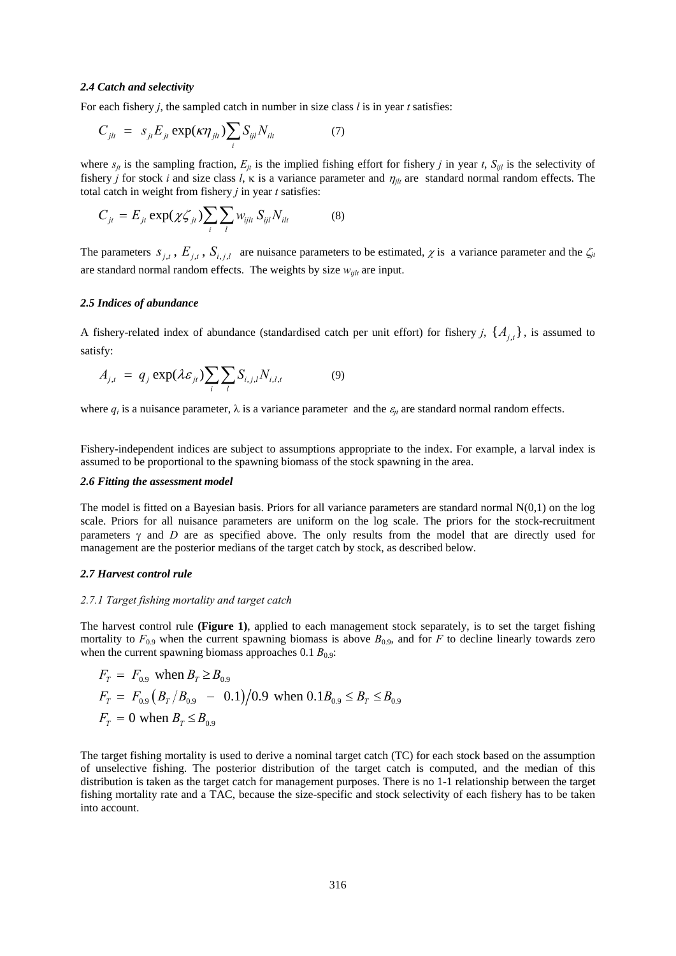## *2.4 Catch and selectivity*

For each fishery *j*, the sampled catch in number in size class *l* is in year *t* satisfies:

$$
C_{jlt} = s_{jt} E_{jt} \exp(\kappa \eta_{jlt}) \sum_{i} S_{ijl} N_{ilt} \tag{7}
$$

where  $s_{ji}$  is the sampling fraction,  $E_{ji}$  is the implied fishing effort for fishery *j* in year *t*,  $S_{ij}$  is the selectivity of fishery *j* for stock *i* and size class *l*,  $\kappa$  is a variance parameter and  $\eta_{jt}$  are standard normal random effects. The total catch in weight from fishery *j* in year *t* satisfies:

$$
C_{jt} = E_{jt} \exp(\chi \zeta_{jt}) \sum_{i} \sum_{l} w_{ijlt} S_{ijl} N_{ilt}
$$
 (8)

The parameters  $S_{i,t}$ ,  $E_{i,t}$ ,  $S_{i,t}$  are nuisance parameters to be estimated,  $\chi$  is a variance parameter and the  $\zeta_{jt}$ are standard normal random effects. The weights by size  $w_{ijlt}$  are input.

### *2.5 Indices of abundance*

A fishery-related index of abundance (standardised catch per unit effort) for fishery *j*,  $\{A_{i,t}\}$ , is assumed to satisfy:

$$
A_{j,t} = q_j \exp(\lambda \varepsilon_{jt}) \sum_{i} \sum_{l} S_{i,j,l} N_{i,l,t}
$$
 (9)

where  $q_i$  is a nuisance parameter,  $\lambda$  is a variance parameter and the  $\varepsilon_{it}$  are standard normal random effects.

Fishery-independent indices are subject to assumptions appropriate to the index. For example, a larval index is assumed to be proportional to the spawning biomass of the stock spawning in the area.

### *2.6 Fitting the assessment model*

The model is fitted on a Bayesian basis. Priors for all variance parameters are standard normal  $N(0,1)$  on the log scale. Priors for all nuisance parameters are uniform on the log scale. The priors for the stock-recruitment parameters  $\gamma$  and *D* are as specified above. The only results from the model that are directly used for management are the posterior medians of the target catch by stock, as described below.

#### *2.7 Harvest control rule*

### *2.7.1 Target fishing mortality and target catch*

The harvest control rule **(Figure 1)**, applied to each management stock separately, is to set the target fishing mortality to  $F_{0.9}$  when the current spawning biomass is above  $B_{0.9}$ , and for *F* to decline linearly towards zero when the current spawning biomass approaches  $0.1 B_{0.9}$ :

$$
F_T = F_{0.9} \text{ when } B_T \ge B_{0.9}
$$
  
\n
$$
F_T = F_{0.9} (B_T / B_{0.9} - 0.1) / 0.9 \text{ when } 0.1 B_{0.9} \le B_T \le B_{0.9}
$$
  
\n
$$
F_T = 0 \text{ when } B_T \le B_{0.9}
$$

The target fishing mortality is used to derive a nominal target catch (TC) for each stock based on the assumption of unselective fishing. The posterior distribution of the target catch is computed, and the median of this distribution is taken as the target catch for management purposes. There is no 1-1 relationship between the target fishing mortality rate and a TAC, because the size-specific and stock selectivity of each fishery has to be taken into account.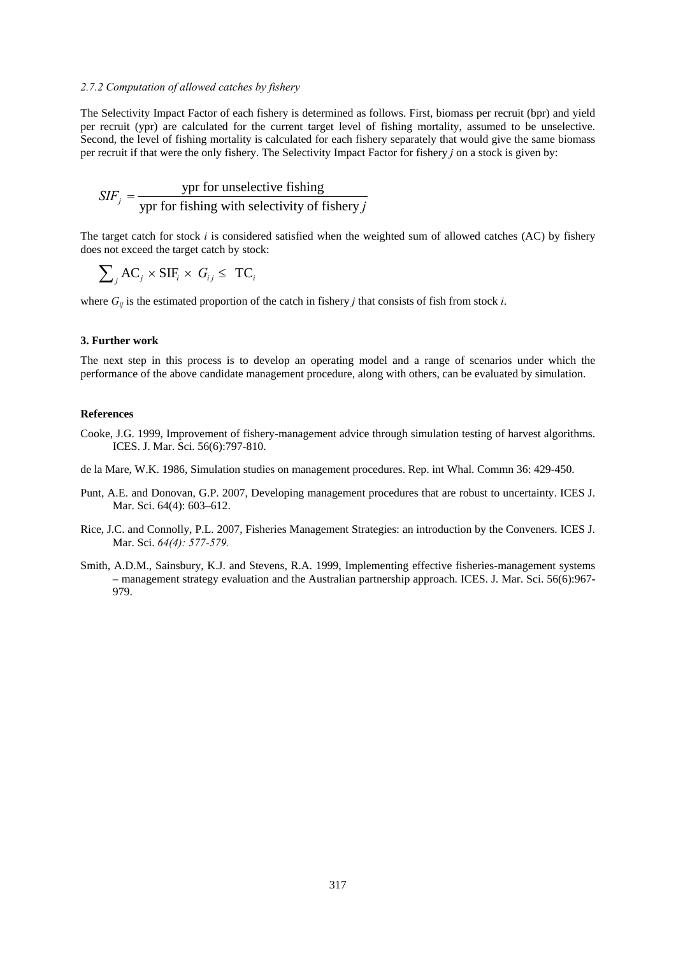### *2.7.2 Computation of allowed catches by fishery*

The Selectivity Impact Factor of each fishery is determined as follows. First, biomass per recruit (bpr) and yield per recruit (ypr) are calculated for the current target level of fishing mortality, assumed to be unselective. Second, the level of fishing mortality is calculated for each fishery separately that would give the same biomass per recruit if that were the only fishery. The Selectivity Impact Factor for fishery *j* on a stock is given by:

$$
SIF_j = \frac{\text{ypr for unselective fishing}}{\text{ypr for fishing with selectivity of fishery } j}
$$

The target catch for stock *i* is considered satisfied when the weighted sum of allowed catches (AC) by fishery does not exceed the target catch by stock:

$$
\sum\nolimits_j {\rm AC}_j \times {\rm SIF}_i \times \ G_{ij} \leq \ {\rm TC}_i
$$

where  $G_{ij}$  is the estimated proportion of the catch in fishery *j* that consists of fish from stock *i*.

### **3. Further work**

The next step in this process is to develop an operating model and a range of scenarios under which the performance of the above candidate management procedure, along with others, can be evaluated by simulation.

#### **References**

- Cooke, J.G. 1999, Improvement of fishery-management advice through simulation testing of harvest algorithms. ICES. J. Mar. Sci. 56(6):797-810.
- de la Mare, W.K. 1986, Simulation studies on management procedures. Rep. int Whal. Commn 36: 429-450.
- Punt, A.E. and Donovan, G.P. 2007, Developing management procedures that are robust to uncertainty. ICES J. Mar. Sci. 64(4): 603–612.
- Rice, J.C. and Connolly, P.L. 2007, Fisheries Management Strategies: an introduction by the Conveners. ICES J. Mar. Sci. *64(4): 577-579.*
- Smith, A.D.M., Sainsbury, K.J. and Stevens, R.A. 1999, Implementing effective fisheries-management systems – management strategy evaluation and the Australian partnership approach. ICES. J. Mar. Sci. 56(6):967- 979.